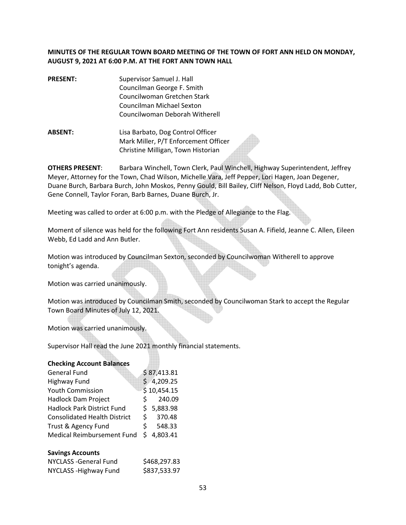# **MINUTES OF THE REGULAR TOWN BOARD MEETING OF THE TOWN OF FORT ANN HELD ON MONDAY, AUGUST 9, 2021 AT 6:00 P.M. AT THE FORT ANN TOWN HALL**

- **PRESENT:** Supervisor Samuel J. Hall Councilman George F. Smith Councilwoman Gretchen Stark Councilman Michael Sexton Councilwoman Deborah Witherell
- **ABSENT:** Lisa Barbato, Dog Control Officer Mark Miller, P/T Enforcement Officer Christine Milligan, Town Historian

**OTHERS PRESENT**: Barbara Winchell, Town Clerk, Paul Winchell, Highway Superintendent, Jeffrey Meyer, Attorney for the Town, Chad Wilson, Michelle Vara, Jeff Pepper, Lori Hagen, Joan Degener, Duane Burch, Barbara Burch, John Moskos, Penny Gould, Bill Bailey, Cliff Nelson, Floyd Ladd, Bob Cutter, Gene Connell, Taylor Foran, Barb Barnes, Duane Burch, Jr.

Meeting was called to order at 6:00 p.m. with the Pledge of Allegiance to the Flag.

Moment of silence was held for the following Fort Ann residents Susan A. Fifield, Jeanne C. Allen, Eileen Webb, Ed Ladd and Ann Butler.

Motion was introduced by Councilman Sexton, seconded by Councilwoman Witherell to approve tonight's agenda.

Motion was carried unanimously.

Motion was introduced by Councilman Smith, seconded by Councilwoman Stark to accept the Regular Town Board Minutes of July 12, 2021.

Motion was carried unanimously.

Supervisor Hall read the June 2021 monthly financial statements.

#### **Checking Account Balances**

|    | \$87,413.81 |
|----|-------------|
|    | \$4,209.25  |
|    | \$10,454.15 |
| S. | 240.09      |
|    | \$5,883.98  |
|    | 370.48      |
| S. | 548.33      |
| S. | 4,803.41    |
|    | S.          |

#### **Savings Accounts**

| NYCLASS - General Fund | \$468,297.83 |
|------------------------|--------------|
| NYCLASS - Highway Fund | \$837,533.97 |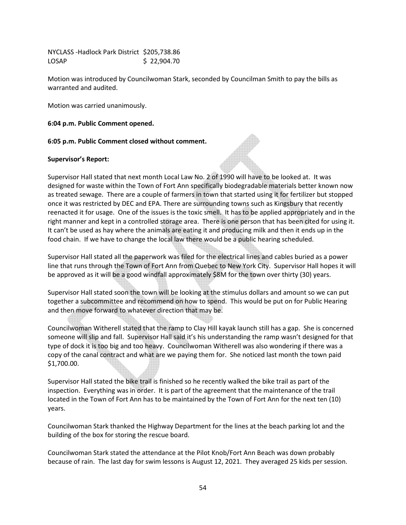NYCLASS -Hadlock Park District \$205,738.86 LOSAP \$ 22,904.70

Motion was introduced by Councilwoman Stark, seconded by Councilman Smith to pay the bills as warranted and audited.

Motion was carried unanimously.

**6:04 p.m. Public Comment opened.** 

**6:05 p.m. Public Comment closed without comment.** 

### **Supervisor's Report:**

Supervisor Hall stated that next month Local Law No. 2 of 1990 will have to be looked at. It was designed for waste within the Town of Fort Ann specifically biodegradable materials better known now as treated sewage. There are a couple of farmers in town that started using it for fertilizer but stopped once it was restricted by DEC and EPA. There are surrounding towns such as Kingsbury that recently reenacted it for usage. One of the issues is the toxic smell. It has to be applied appropriately and in the right manner and kept in a controlled storage area. There is one person that has been cited for using it. It can't be used as hay where the animals are eating it and producing milk and then it ends up in the food chain. If we have to change the local law there would be a public hearing scheduled.

Supervisor Hall stated all the paperwork was filed for the electrical lines and cables buried as a power line that runs through the Town of Fort Ann from Quebec to New York City. Supervisor Hall hopes it will be approved as it will be a good windfall approximately \$8M for the town over thirty (30) years.

Supervisor Hall stated soon the town will be looking at the stimulus dollars and amount so we can put together a subcommittee and recommend on how to spend. This would be put on for Public Hearing and then move forward to whatever direction that may be.

Councilwoman Witherell stated that the ramp to Clay Hill kayak launch still has a gap. She is concerned someone will slip and fall. Supervisor Hall said it's his understanding the ramp wasn't designed for that type of dock it is too big and too heavy. Councilwoman Witherell was also wondering if there was a copy of the canal contract and what are we paying them for. She noticed last month the town paid \$1,700.00.

Supervisor Hall stated the bike trail is finished so he recently walked the bike trail as part of the inspection. Everything was in order. It is part of the agreement that the maintenance of the trail located in the Town of Fort Ann has to be maintained by the Town of Fort Ann for the next ten (10) years.

Councilwoman Stark thanked the Highway Department for the lines at the beach parking lot and the building of the box for storing the rescue board.

Councilwoman Stark stated the attendance at the Pilot Knob/Fort Ann Beach was down probably because of rain. The last day for swim lessons is August 12, 2021. They averaged 25 kids per session.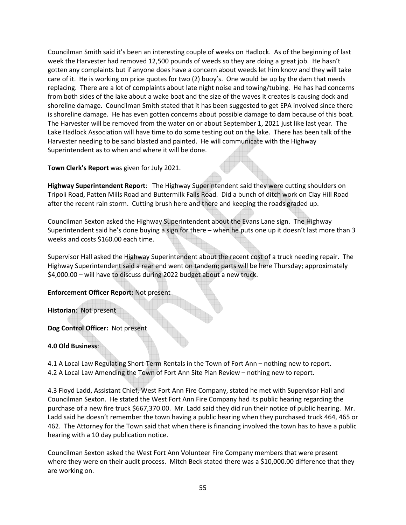Councilman Smith said it's been an interesting couple of weeks on Hadlock. As of the beginning of last week the Harvester had removed 12,500 pounds of weeds so they are doing a great job. He hasn't gotten any complaints but if anyone does have a concern about weeds let him know and they will take care of it. He is working on price quotes for two (2) buoy's. One would be up by the dam that needs replacing. There are a lot of complaints about late night noise and towing/tubing. He has had concerns from both sides of the lake about a wake boat and the size of the waves it creates is causing dock and shoreline damage. Councilman Smith stated that it has been suggested to get EPA involved since there is shoreline damage. He has even gotten concerns about possible damage to dam because of this boat. The Harvester will be removed from the water on or about September 1, 2021 just like last year. The Lake Hadlock Association will have time to do some testing out on the lake. There has been talk of the Harvester needing to be sand blasted and painted. He will communicate with the Highway Superintendent as to when and where it will be done.

**Town Clerk's Report** was given for July 2021.

**Highway Superintendent Report**: The Highway Superintendent said they were cutting shoulders on Tripoli Road, Patten Mills Road and Buttermilk Falls Road. Did a bunch of ditch work on Clay Hill Road after the recent rain storm. Cutting brush here and there and keeping the roads graded up.

Councilman Sexton asked the Highway Superintendent about the Evans Lane sign. The Highway Superintendent said he's done buying a sign for there – when he puts one up it doesn't last more than 3 weeks and costs \$160.00 each time.

Supervisor Hall asked the Highway Superintendent about the recent cost of a truck needing repair. The Highway Superintendent said a rear end went on tandem; parts will be here Thursday; approximately \$4,000.00 – will have to discuss during 2022 budget about a new truck.

# **Enforcement Officer Report:** Not present

**Historian**: Not present

## **Dog Control Officer:** Not present

**4.0 Old Business**:

4.1 A Local Law Regulating Short-Term Rentals in the Town of Fort Ann – nothing new to report. 4.2 A Local Law Amending the Town of Fort Ann Site Plan Review – nothing new to report.

4.3 Floyd Ladd, Assistant Chief, West Fort Ann Fire Company, stated he met with Supervisor Hall and Councilman Sexton. He stated the West Fort Ann Fire Company had its public hearing regarding the purchase of a new fire truck \$667,370.00. Mr. Ladd said they did run their notice of public hearing. Mr. Ladd said he doesn't remember the town having a public hearing when they purchased truck 464, 465 or 462. The Attorney for the Town said that when there is financing involved the town has to have a public hearing with a 10 day publication notice.

Councilman Sexton asked the West Fort Ann Volunteer Fire Company members that were present where they were on their audit process. Mitch Beck stated there was a \$10,000.00 difference that they are working on.